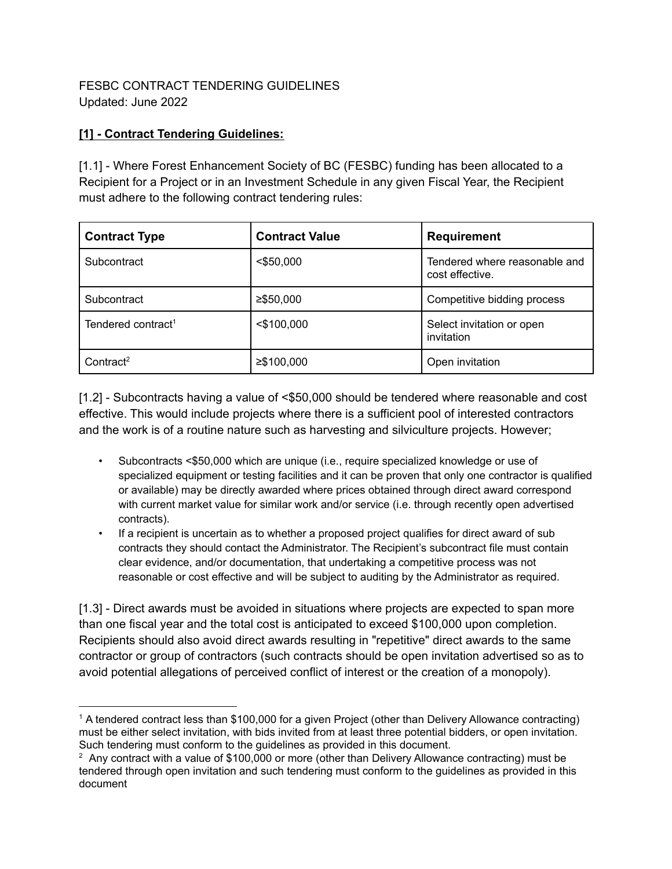### FESBC CONTRACT TENDERING GUIDELINES Updated: June 2022

## **[1] - Contract Tendering Guidelines:**

[1.1] - Where Forest Enhancement Society of BC (FESBC) funding has been allocated to a Recipient for a Project or in an Investment Schedule in any given Fiscal Year, the Recipient must adhere to the following contract tendering rules:

| <b>Contract Type</b>           | <b>Contract Value</b> | <b>Requirement</b>                               |
|--------------------------------|-----------------------|--------------------------------------------------|
| Subcontract                    | $<$ \$50,000          | Tendered where reasonable and<br>cost effective. |
| Subcontract                    | $≥$ \$50,000          | Competitive bidding process                      |
| Tendered contract <sup>1</sup> | $<$ \$100,000         | Select invitation or open<br>invitation          |
| Contract <sup>2</sup>          | ≥\$100,000            | Open invitation                                  |

[1.2] - Subcontracts having a value of <\$50,000 should be tendered where reasonable and cost effective. This would include projects where there is a sufficient pool of interested contractors and the work is of a routine nature such as harvesting and silviculture projects. However;

- Subcontracts <\$50,000 which are unique (i.e., require specialized knowledge or use of specialized equipment or testing facilities and it can be proven that only one contractor is qualified or available) may be directly awarded where prices obtained through direct award correspond with current market value for similar work and/or service (i.e. through recently open advertised contracts).
- If a recipient is uncertain as to whether a proposed project qualifies for direct award of sub contracts they should contact the Administrator. The Recipient's subcontract file must contain clear evidence, and/or documentation, that undertaking a competitive process was not reasonable or cost effective and will be subject to auditing by the Administrator as required.

[1.3] - Direct awards must be avoided in situations where projects are expected to span more than one fiscal year and the total cost is anticipated to exceed \$100,000 upon completion. Recipients should also avoid direct awards resulting in "repetitive" direct awards to the same contractor or group of contractors (such contracts should be open invitation advertised so as to avoid potential allegations of perceived conflict of interest or the creation of a monopoly).

<sup>1</sup> A tendered contract less than \$100,000 for a given Project (other than Delivery Allowance contracting) must be either select invitation, with bids invited from at least three potential bidders, or open invitation. Such tendering must conform to the guidelines as provided in this document.

 $2\text{ A}$ ny contract with a value of \$100,000 or more (other than Delivery Allowance contracting) must be tendered through open invitation and such tendering must conform to the guidelines as provided in this document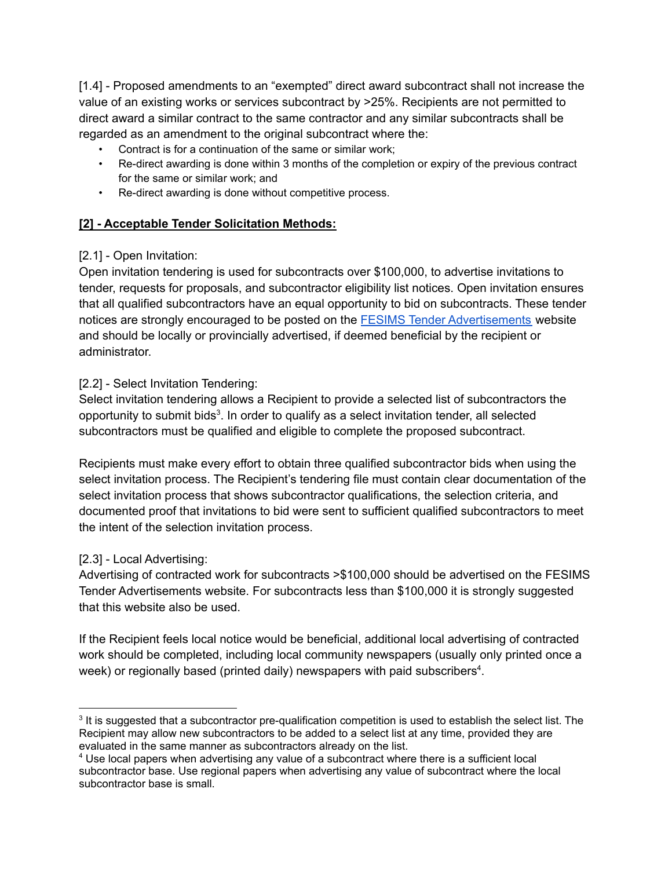[1.4] - Proposed amendments to an "exempted" direct award subcontract shall not increase the value of an existing works or services subcontract by >25%. Recipients are not permitted to direct award a similar contract to the same contractor and any similar subcontracts shall be regarded as an amendment to the original subcontract where the:

- Contract is for a continuation of the same or similar work;
- Re-direct awarding is done within 3 months of the completion or expiry of the previous contract for the same or similar work; and
- Re-direct awarding is done without competitive process.

## **[2] - Acceptable Tender Solicitation Methods:**

### [2.1] - Open Invitation:

Open invitation tendering is used for subcontracts over \$100,000, to advertise invitations to tender, requests for proposals, and subcontractor eligibility list notices. Open invitation ensures that all qualified subcontractors have an equal opportunity to bid on subcontracts. These tender notices are strongly encouraged to be posted on the **FESIMS Tender [Advertisements](https://fesims.outcome-plus.com/Advertisement/AdvertisementLanding)** website and should be locally or provincially advertised, if deemed beneficial by the recipient or administrator.

#### [2.2] - Select Invitation Tendering:

Select invitation tendering allows a Recipient to provide a selected list of subcontractors the opportunity to submit bids<sup>3</sup>. In order to qualify as a select invitation tender, all selected subcontractors must be qualified and eligible to complete the proposed subcontract.

Recipients must make every effort to obtain three qualified subcontractor bids when using the select invitation process. The Recipient's tendering file must contain clear documentation of the select invitation process that shows subcontractor qualifications, the selection criteria, and documented proof that invitations to bid were sent to sufficient qualified subcontractors to meet the intent of the selection invitation process.

### [2.3] - Local Advertising:

Advertising of contracted work for subcontracts >\$100,000 should be advertised on the FESIMS Tender Advertisements website. For subcontracts less than \$100,000 it is strongly suggested that this website also be used.

If the Recipient feels local notice would be beneficial, additional local advertising of contracted work should be completed, including local community newspapers (usually only printed once a week) or regionally based (printed daily) newspapers with paid subscribers<sup>4</sup>.

 $3$  It is suggested that a subcontractor pre-qualification competition is used to establish the select list. The Recipient may allow new subcontractors to be added to a select list at any time, provided they are evaluated in the same manner as subcontractors already on the list.

<sup>4</sup> Use local papers when advertising any value of a subcontract where there is a sufficient local subcontractor base. Use regional papers when advertising any value of subcontract where the local subcontractor base is small.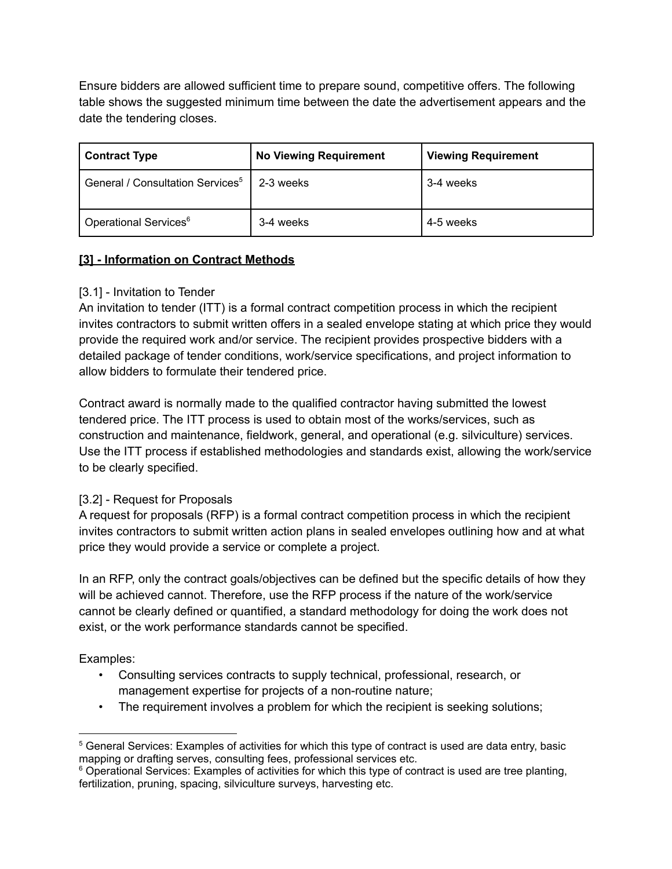Ensure bidders are allowed sufficient time to prepare sound, competitive offers. The following table shows the suggested minimum time between the date the advertisement appears and the date the tendering closes.

| <b>Contract Type</b>                         | <b>No Viewing Requirement</b> | <b>Viewing Requirement</b> |
|----------------------------------------------|-------------------------------|----------------------------|
| General / Consultation Services <sup>5</sup> | 2-3 weeks                     | 3-4 weeks                  |
| Operational Services <sup>6</sup>            | 3-4 weeks                     | 4-5 weeks                  |

# **[3] - Information on Contract Methods**

# [3.1] - Invitation to Tender

An invitation to tender (ITT) is a formal contract competition process in which the recipient invites contractors to submit written offers in a sealed envelope stating at which price they would provide the required work and/or service. The recipient provides prospective bidders with a detailed package of tender conditions, work/service specifications, and project information to allow bidders to formulate their tendered price.

Contract award is normally made to the qualified contractor having submitted the lowest tendered price. The ITT process is used to obtain most of the works/services, such as construction and maintenance, fieldwork, general, and operational (e.g. silviculture) services. Use the ITT process if established methodologies and standards exist, allowing the work/service to be clearly specified.

# [3.2] - Request for Proposals

A request for proposals (RFP) is a formal contract competition process in which the recipient invites contractors to submit written action plans in sealed envelopes outlining how and at what price they would provide a service or complete a project.

In an RFP, only the contract goals/objectives can be defined but the specific details of how they will be achieved cannot. Therefore, use the RFP process if the nature of the work/service cannot be clearly defined or quantified, a standard methodology for doing the work does not exist, or the work performance standards cannot be specified.

Examples:

- Consulting services contracts to supply technical, professional, research, or management expertise for projects of a non-routine nature;
- The requirement involves a problem for which the recipient is seeking solutions;

<sup>5</sup> General Services: Examples of activities for which this type of contract is used are data entry, basic mapping or drafting serves, consulting fees, professional services etc.

<sup>&</sup>lt;sup>6</sup> Operational Services: Examples of activities for which this type of contract is used are tree planting, fertilization, pruning, spacing, silviculture surveys, harvesting etc.